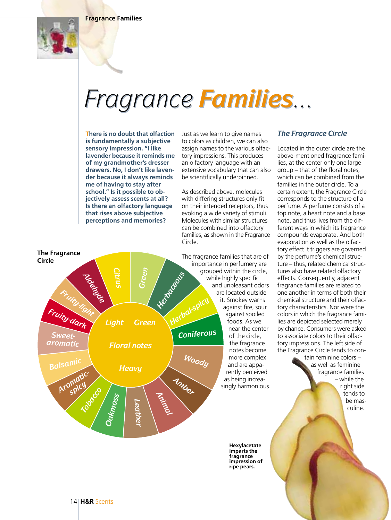**Fragrance Families**



# *Fragrance Families...*

**There is no doubt that olfaction is fundamentally a subjective sensory impression. "I like lavender because it reminds me of my grandmother's dresser drawers. No, I don't like lavender because it always reminds me of having to stay after school." Is it possible to objectively assess scents at all? Is there an olfactory language that rises above subjective perceptions and memories?**

Just as we learn to give names to colors as children, we can also assign names to the various olfactory impressions. This produces an olfactory language with an extensive vocabulary that can also be scientifically underpinned.

As described above, molecules with differing structures only fit on their intended receptors, thus evoking a wide variety of stimuli. Molecules with similar structures can be combined into olfactory families, as shown in the Fragrance Circle.

The fragrance families that are of importance in perfumery are grouped within the circle, while highly specific and unpleasant odors are located outside it. Smokey warns against fire, sour against spoiled foods. As we near the center of the circle, the fragrance notes become more complex and are apparently perceived as being increasingly harmonious.

> **Hexylacetate imparts the fragrance impression of ripe pears.**

## *The Fragrance Circle*

Located in the outer circle are the above-mentioned fragrance families, at the center only one large group – that of the floral notes, which can be combined from the families in the outer circle. To a certain extent, the Fragrance Circle corresponds to the structure of a perfume. A perfume consists of a top note, a heart note and a base note, and thus lives from the different ways in which its fragrance compounds evaporate. And both evaporation as well as the olfactory effect it triggers are governed by the perfume's chemical structure – thus, related chemical structures also have related olfactory effects. Consequently, adjacent fragrance families are related to one another in terms of both their chemical structure and their olfactory characteristics. Nor were the colors in which the fragrance families are depicted selected merely by chance. Consumers were asked to associate colors to their olfactory impressions. The left side of the Fragrance Circle tends to con-

tain feminine colors – as well as feminine fragrance families – while the right side tends to be masculine.

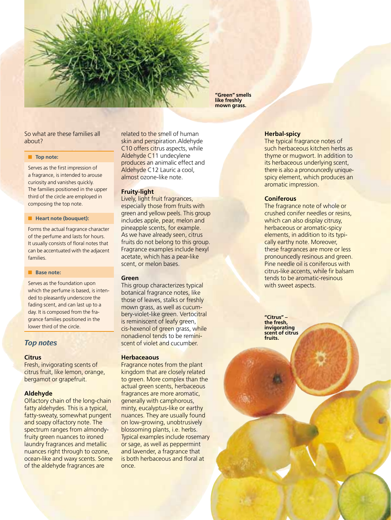**"Green" smells like freshly mown grass.**

## So what are these families all about?

## ■ **Top note:**

Serves as the first impression of a fragrance, is intended to arouse curiosity and vanishes quickly. The families positioned in the upper third of the circle are employed in composing the top note.

#### ■ **Heart note (bouquet):**

Forms the actual fragrance character of the perfume and lasts for hours. It usually consists of floral notes that can be accentuated with the adjacent families.

## ■ **Base note:**

Serves as the foundation upon which the perfume is based, is intended to pleasantly underscore the fading scent, and can last up to a day. It is composed from the fragrance families positioned in the lower third of the circle.

## *Top notes*

## **Citrus**

Fresh, invigorating scents of citrus fruit, like lemon, orange, bergamot or grapefruit.

## **Aldehyde**

Olfactory chain of the long-chain fatty aldehydes. This is a typical, fatty-sweaty, somewhat pungent and soapy olfactory note. The spectrum ranges from almondyfruity green nuances to ironed laundry fragrances and metallic nuances right through to ozone, ocean-like and waxy scents. Some of the aldehyde fragrances are

related to the smell of human skin and perspiration.Aldehyde C10 offers citrus aspects, while Aldehyde C11 undecylene produces an animalic effect and Aldehyde C12 Lauric a cool, almost ozone-like note.

## **Fruity-light**

Lively, light fruit fragrances, especially those from fruits with green and yellow peels. This group includes apple, pear, melon and pineapple scents, for example. As we have already seen, citrus fruits do not belong to this group. Fragrance examples include hexyl acetate, which has a pear-like scent, or melon bases.

## **Green**

This group characterizes typical botanical fragrance notes, like those of leaves, stalks or freshly mown grass, as well as cucumbery-violet-like green. Vertocitral is reminiscent of leafy green, cis-hexenol of green grass, while nonadienol tends to be reminiscent of violet and cucumber.

## **Herbaceaous**

Fragrance notes from the plant kingdom that are closely related to green. More complex than the actual green scents, herbaceous fragrances are more aromatic, generally with camphorous, minty, eucalyptus-like or earthy nuances. They are usually found on low-growing, unobtrusively blossoming plants, i.e. herbs. Typical examples include rosemary or sage, as well as peppermint and lavender, a fragrance that is both herbaceous and floral at once.

## **Herbal-spicy**

The typical fragrance notes of such herbaceous kitchen herbs as thyme or mugwort. In addition to its herbaceous underlying scent, there is also a pronouncedly uniquespicy element, which produces an aromatic impression.

## **Coniferous**

The fragrance note of whole or crushed conifer needles or resins, which can also display citrusy, herbaceous or aromatic-spicy elements, in addition to its typically earthy note. Moreover, these fragrances are more or less pronouncedly resinous and green. Pine needle oil is coniferous with citrus-like accents, while fir balsam tends to be aromatic-resinous with sweet aspects.

**"Citrus" – the fresh, invigorating scent of citrus fruits.**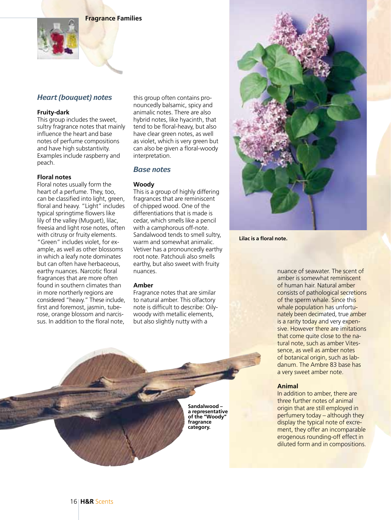**Fragrance Families**

## *Heart (bouquet) notes*

## **Fruity-dark**

This group includes the sweet. sultry fragrance notes that mainly influence the heart and base notes of perfume compositions and have high substantivity. Examples include raspberry and peach.

## **Floral notes**

Floral notes usually form the heart of a perfume. They, too, can be classified into light, green, floral and heavy. "Light" includes typical springtime flowers like lily of the valley (Muguet), lilac, freesia and light rose notes, often with citrusy or fruity elements. "Green" includes violet, for example, as well as other blossoms in which a leafy note dominates but can often have herbaceous, earthy nuances. Narcotic floral fragrances that are more often found in southern climates than in more northerly regions are considered "heavy." These include, first and foremost, jasmin, tuberose, orange blossom and narcissus. In addition to the floral note,

this group often contains pronouncedly balsamic, spicy and animalic notes. There are also hybrid notes, like hyacinth, that tend to be floral-heavy, but also have clear green notes, as well as violet, which is very green but can also be given a floral-woody interpretation.

## *Base notes*

## **Woody**

This is a group of highly differing fragrances that are reminiscent of chipped wood. One of the differentiations that is made is cedar, which smells like a pencil with a camphorous off-note. Sandalwood tends to smell sultry, warm and somewhat animalic. Vetiver has a pronouncedly earthy root note. Patchouli also smells earthy, but also sweet with fruity nuances.

## **Amber**

Fragrance notes that are similar to natural amber. This olfactory note is difficult to describe: Oilywoody with metallic elements, but also slightly nutty with a

> **Sandalwood – a representative of the "Woody" fragrance category.**



**Lilac is a floral note.**

nuance of seawater. The scent of amber is somewhat reminiscent of human hair. Natural amber consists of pathological secretions of the sperm whale. Since this whale population has unfortunately been decimated, true amber is a rarity today and very expensive. However there are imitations that come quite close to the natural note, such as amber Vitessence, as well as amber notes of botanical origin, such as labdanum. The Ambre 83 base has a very sweet amber note.

## **Animal**

In addition to amber, there are three further notes of animal origin that are still employed in perfumery today – although they display the typical note of excrement, they offer an incomparable erogenous rounding-off effect in diluted form and in compositions.